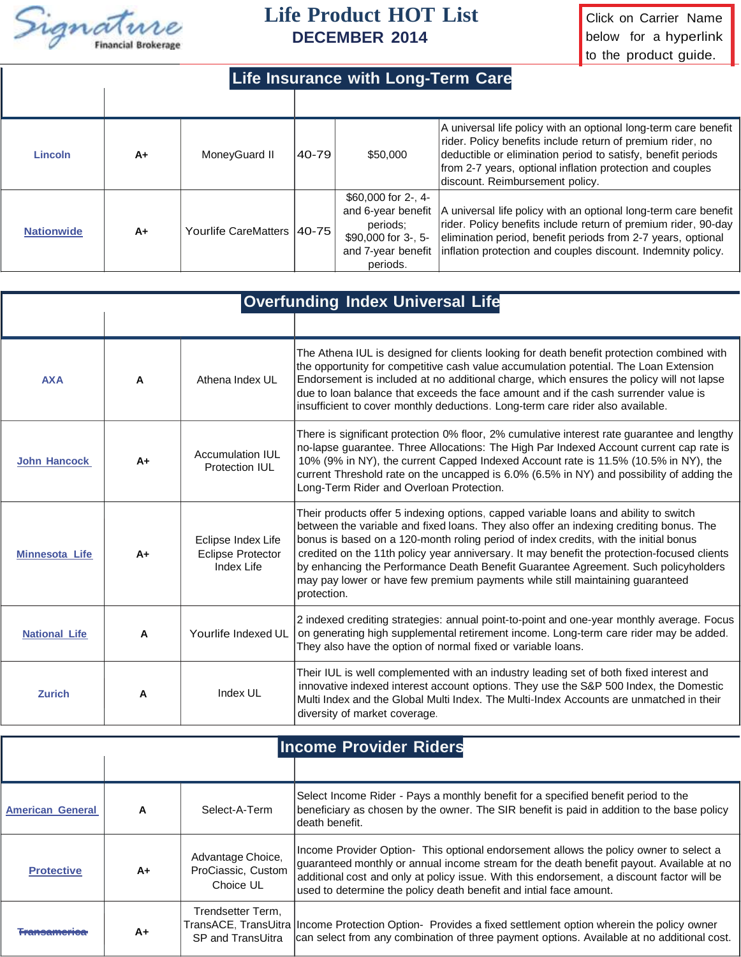

## **Life Product HOT List**

Click on Carrier Name below for a hyperlink to the product guide.

| <b>Life Insurance with Long-Term Care</b> |    |                              |       |                                                                                                                      |                                                                                                                                                                                                                                                                                               |  |  |  |
|-------------------------------------------|----|------------------------------|-------|----------------------------------------------------------------------------------------------------------------------|-----------------------------------------------------------------------------------------------------------------------------------------------------------------------------------------------------------------------------------------------------------------------------------------------|--|--|--|
|                                           |    |                              |       |                                                                                                                      |                                                                                                                                                                                                                                                                                               |  |  |  |
| <b>Lincoln</b>                            | A+ | MoneyGuard II                | 40-79 | \$50,000                                                                                                             | A universal life policy with an optional long-term care benefit<br>rider. Policy benefits include return of premium rider, no<br>deductible or elimination period to satisfy, benefit periods<br>from 2-7 years, optional inflation protection and couples<br>discount. Reimbursement policy. |  |  |  |
| <b>Nationwide</b>                         | A+ | Yourlife CareMatters   40-75 |       | \$60,000 for $2-1$ , $4-$<br>and 6-year benefit<br>periods:<br>\$90,000 for 3-, 5-<br>and 7-year benefit<br>periods. | A universal life policy with an optional long-term care benefit<br>rider. Policy benefits include return of premium rider, 90-day<br>elimination period, benefit periods from 2-7 years, optional<br>inflation protection and couples discount. Indemnity policy.                             |  |  |  |

|                       |      | <b>Overfunding Index Universal Life</b>                      |                                                                                                                                                                                                                                                                                                                                                                                                                                                                                                                                                             |  |  |  |
|-----------------------|------|--------------------------------------------------------------|-------------------------------------------------------------------------------------------------------------------------------------------------------------------------------------------------------------------------------------------------------------------------------------------------------------------------------------------------------------------------------------------------------------------------------------------------------------------------------------------------------------------------------------------------------------|--|--|--|
|                       |      |                                                              |                                                                                                                                                                                                                                                                                                                                                                                                                                                                                                                                                             |  |  |  |
| <b>AXA</b>            | A    | Athena Index UL                                              | The Athena IUL is designed for clients looking for death benefit protection combined with<br>the opportunity for competitive cash value accumulation potential. The Loan Extension<br>Endorsement is included at no additional charge, which ensures the policy will not lapse<br>due to loan balance that exceeds the face amount and if the cash surrender value is<br>insufficient to cover monthly deductions. Long-term care rider also available.                                                                                                     |  |  |  |
| <b>John Hancock</b>   | $A+$ | Accumulation IUL<br>Protection IUI                           | There is significant protection 0% floor, 2% cumulative interest rate guarantee and lengthy<br>no-lapse guarantee. Three Allocations: The High Par Indexed Account current cap rate is<br>10% (9% in NY), the current Capped Indexed Account rate is 11.5% (10.5% in NY), the<br>current Threshold rate on the uncapped is 6.0% (6.5% in NY) and possibility of adding the<br>Long-Term Rider and Overloan Protection.                                                                                                                                      |  |  |  |
| <b>Minnesota Life</b> | A+   | Eclipse Index Life<br><b>Eclipse Protector</b><br>Index Life | Their products offer 5 indexing options, capped variable loans and ability to switch<br>between the variable and fixed loans. They also offer an indexing crediting bonus. The<br>bonus is based on a 120-month roling period of index credits, with the initial bonus<br>credited on the 11th policy year anniversary. It may benefit the protection-focused clients<br>by enhancing the Performance Death Benefit Guarantee Agreement. Such policyholders<br>may pay lower or have few premium payments while still maintaining guaranteed<br>protection. |  |  |  |
| <b>National Life</b>  | A    | Yourlife Indexed UL                                          | 2 indexed crediting strategies: annual point-to-point and one-year monthly average. Focus<br>on generating high supplemental retirement income. Long-term care rider may be added.<br>They also have the option of normal fixed or variable loans.                                                                                                                                                                                                                                                                                                          |  |  |  |
| <b>Zurich</b>         | A    | Index UL                                                     | Their IUL is well complemented with an industry leading set of both fixed interest and<br>innovative indexed interest account options. They use the S&P 500 Index, the Domestic<br>Multi Index and the Global Multi Index. The Multi-Index Accounts are unmatched in their<br>diversity of market coverage.                                                                                                                                                                                                                                                 |  |  |  |

| <b>Income Provider Riders</b> |    |                                                      |                                                                                                                                                                                                                                                                                                                                                       |  |  |  |
|-------------------------------|----|------------------------------------------------------|-------------------------------------------------------------------------------------------------------------------------------------------------------------------------------------------------------------------------------------------------------------------------------------------------------------------------------------------------------|--|--|--|
|                               |    |                                                      |                                                                                                                                                                                                                                                                                                                                                       |  |  |  |
| <b>American General</b>       | A  | Select-A-Term                                        | Select Income Rider - Pays a monthly benefit for a specified benefit period to the<br>beneficiary as chosen by the owner. The SIR benefit is paid in addition to the base policy<br>death benefit.                                                                                                                                                    |  |  |  |
| <b>Protective</b>             | A+ | Advantage Choice,<br>ProCiassic, Custom<br>Choice UL | Income Provider Option- This optional endorsement allows the policy owner to select a<br>quaranteed monthly or annual income stream for the death benefit payout. Available at no<br>additional cost and only at policy issue. With this endorsement, a discount factor will be<br>used to determine the policy death benefit and intial face amount. |  |  |  |
| ----------------              | A+ | Trendsetter Term,<br>SP and TransUitra               | TransACE, TransUitra   Income Protection Option- Provides a fixed settlement option wherein the policy owner<br>can select from any combination of three payment options. Available at no additional cost.                                                                                                                                            |  |  |  |